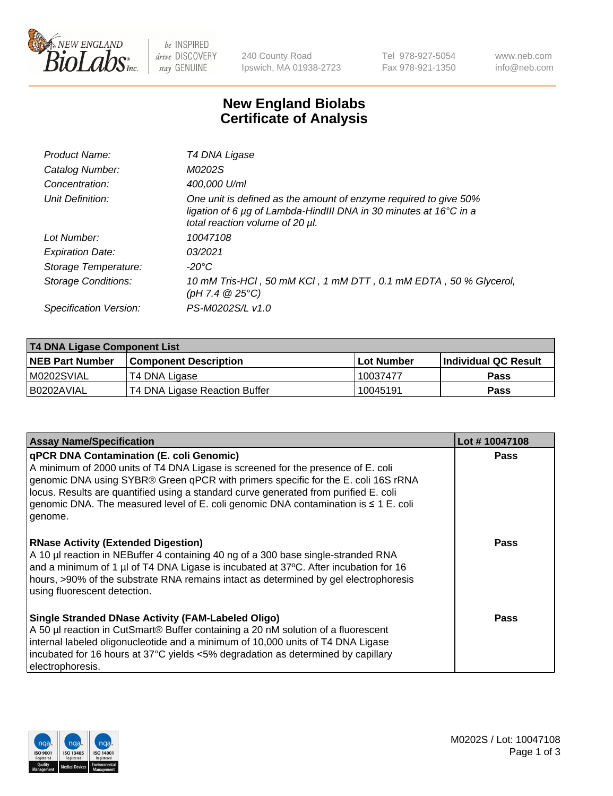

 $be$  INSPIRED drive DISCOVERY stay GENUINE

240 County Road Ipswich, MA 01938-2723 Tel 978-927-5054 Fax 978-921-1350 www.neb.com info@neb.com

## **New England Biolabs Certificate of Analysis**

| Product Name:           | T4 DNA Ligase                                                                                                                                                            |
|-------------------------|--------------------------------------------------------------------------------------------------------------------------------------------------------------------------|
| Catalog Number:         | M0202S                                                                                                                                                                   |
| Concentration:          | 400,000 U/ml                                                                                                                                                             |
| Unit Definition:        | One unit is defined as the amount of enzyme required to give 50%<br>ligation of 6 µg of Lambda-HindIII DNA in 30 minutes at 16°C in a<br>total reaction volume of 20 µl. |
| Lot Number:             | 10047108                                                                                                                                                                 |
| <b>Expiration Date:</b> | 03/2021                                                                                                                                                                  |
| Storage Temperature:    | $-20^{\circ}$ C                                                                                                                                                          |
| Storage Conditions:     | 10 mM Tris-HCl, 50 mM KCl, 1 mM DTT, 0.1 mM EDTA, 50 % Glycerol,<br>(pH 7.4 $@25°C$ )                                                                                    |
| Specification Version:  | PS-M0202S/L v1.0                                                                                                                                                         |

| <b>T4 DNA Ligase Component List</b> |                               |             |                       |  |
|-------------------------------------|-------------------------------|-------------|-----------------------|--|
| <b>NEB Part Number</b>              | l Component Description       | ⊺Lot Number | ∣Individual QC Result |  |
| M0202SVIAL                          | T4 DNA Ligase                 | 10037477    | <b>Pass</b>           |  |
| B0202AVIAL                          | T4 DNA Ligase Reaction Buffer | 10045191    | <b>Pass</b>           |  |

| <b>Assay Name/Specification</b>                                                                                                                                                                                                                                                                                                                                                                                         | Lot #10047108 |
|-------------------------------------------------------------------------------------------------------------------------------------------------------------------------------------------------------------------------------------------------------------------------------------------------------------------------------------------------------------------------------------------------------------------------|---------------|
| <b>qPCR DNA Contamination (E. coli Genomic)</b><br>A minimum of 2000 units of T4 DNA Ligase is screened for the presence of E. coli<br>genomic DNA using SYBR® Green qPCR with primers specific for the E. coli 16S rRNA<br>locus. Results are quantified using a standard curve generated from purified E. coli<br>genomic DNA. The measured level of E. coli genomic DNA contamination is $\leq 1$ E. coli<br>genome. | <b>Pass</b>   |
| <b>RNase Activity (Extended Digestion)</b><br>A 10 µl reaction in NEBuffer 4 containing 40 ng of a 300 base single-stranded RNA<br>and a minimum of 1 µl of T4 DNA Ligase is incubated at 37°C. After incubation for 16<br>hours, >90% of the substrate RNA remains intact as determined by gel electrophoresis<br>using fluorescent detection.                                                                         | <b>Pass</b>   |
| <b>Single Stranded DNase Activity (FAM-Labeled Oligo)</b><br>A 50 µl reaction in CutSmart® Buffer containing a 20 nM solution of a fluorescent<br>internal labeled oligonucleotide and a minimum of 10,000 units of T4 DNA Ligase<br>incubated for 16 hours at 37°C yields <5% degradation as determined by capillary<br>electrophoresis.                                                                               | Pass          |

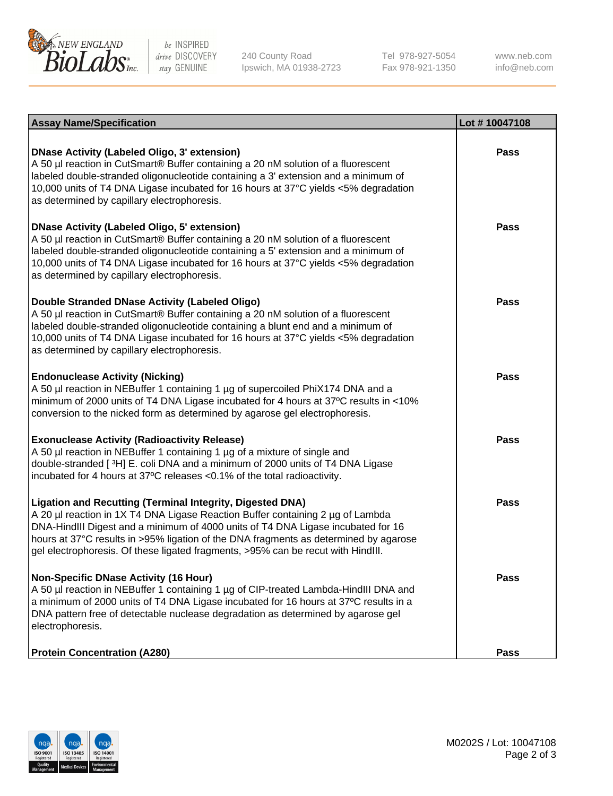

be INSPIRED drive DISCOVERY stay GENUINE

240 County Road Ipswich, MA 01938-2723 Tel 978-927-5054 Fax 978-921-1350

www.neb.com info@neb.com

| <b>Assay Name/Specification</b>                                                                                                                                                                                                                                                                                                                                                                                    | Lot #10047108 |
|--------------------------------------------------------------------------------------------------------------------------------------------------------------------------------------------------------------------------------------------------------------------------------------------------------------------------------------------------------------------------------------------------------------------|---------------|
| <b>DNase Activity (Labeled Oligo, 3' extension)</b><br>A 50 µl reaction in CutSmart® Buffer containing a 20 nM solution of a fluorescent<br>labeled double-stranded oligonucleotide containing a 3' extension and a minimum of<br>10,000 units of T4 DNA Ligase incubated for 16 hours at 37°C yields <5% degradation<br>as determined by capillary electrophoresis.                                               | <b>Pass</b>   |
| <b>DNase Activity (Labeled Oligo, 5' extension)</b><br>A 50 µl reaction in CutSmart® Buffer containing a 20 nM solution of a fluorescent<br>labeled double-stranded oligonucleotide containing a 5' extension and a minimum of<br>10,000 units of T4 DNA Ligase incubated for 16 hours at 37°C yields <5% degradation<br>as determined by capillary electrophoresis.                                               | Pass          |
| <b>Double Stranded DNase Activity (Labeled Oligo)</b><br>A 50 µl reaction in CutSmart® Buffer containing a 20 nM solution of a fluorescent<br>labeled double-stranded oligonucleotide containing a blunt end and a minimum of<br>10,000 units of T4 DNA Ligase incubated for 16 hours at 37°C yields <5% degradation<br>as determined by capillary electrophoresis.                                                | Pass          |
| <b>Endonuclease Activity (Nicking)</b><br>A 50 µl reaction in NEBuffer 1 containing 1 µg of supercoiled PhiX174 DNA and a<br>minimum of 2000 units of T4 DNA Ligase incubated for 4 hours at 37°C results in <10%<br>conversion to the nicked form as determined by agarose gel electrophoresis.                                                                                                                   | Pass          |
| <b>Exonuclease Activity (Radioactivity Release)</b><br>A 50 µl reaction in NEBuffer 1 containing 1 µg of a mixture of single and<br>double-stranded [3H] E. coli DNA and a minimum of 2000 units of T4 DNA Ligase<br>incubated for 4 hours at 37°C releases <0.1% of the total radioactivity.                                                                                                                      | <b>Pass</b>   |
| <b>Ligation and Recutting (Terminal Integrity, Digested DNA)</b><br>A 20 µl reaction in 1X T4 DNA Ligase Reaction Buffer containing 2 µg of Lambda<br>DNA-HindIII Digest and a minimum of 4000 units of T4 DNA Ligase incubated for 16<br>hours at 37°C results in >95% ligation of the DNA fragments as determined by agarose<br>gel electrophoresis. Of these ligated fragments, >95% can be recut with HindIII. | Pass          |
| <b>Non-Specific DNase Activity (16 Hour)</b><br>A 50 µl reaction in NEBuffer 1 containing 1 µg of CIP-treated Lambda-HindIII DNA and<br>a minimum of 2000 units of T4 DNA Ligase incubated for 16 hours at 37°C results in a<br>DNA pattern free of detectable nuclease degradation as determined by agarose gel<br>electrophoresis.                                                                               | <b>Pass</b>   |
| <b>Protein Concentration (A280)</b>                                                                                                                                                                                                                                                                                                                                                                                | <b>Pass</b>   |